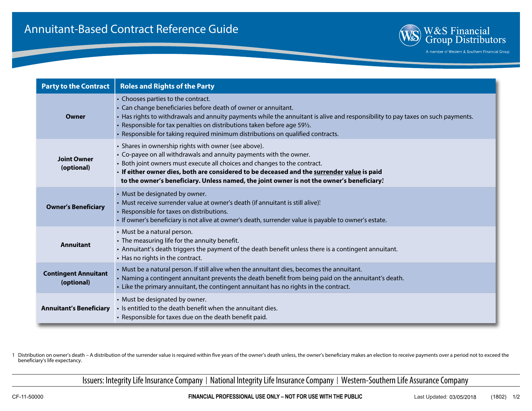

A member of Western & Southern Financial Group

| <b>Party to the Contract</b>              | <b>Roles and Rights of the Party</b>                                                                                                                                                                                                                                                                                                                                                                   |
|-------------------------------------------|--------------------------------------------------------------------------------------------------------------------------------------------------------------------------------------------------------------------------------------------------------------------------------------------------------------------------------------------------------------------------------------------------------|
| Owner                                     | • Chooses parties to the contract.<br>• Can change beneficiaries before death of owner or annuitant.<br>• Has rights to withdrawals and annuity payments while the annuitant is alive and responsibility to pay taxes on such payments.<br>• Responsible for tax penalties on distributions taken before age 591/2.<br>· Responsible for taking required minimum distributions on qualified contracts. |
| <b>Joint Owner</b><br>(optional)          | • Shares in ownership rights with owner (see above).<br>• Co-payee on all withdrawals and annuity payments with the owner.<br>• Both joint owners must execute all choices and changes to the contract.<br>· If either owner dies, both are considered to be deceased and the surrender value is paid<br>to the owner's beneficiary. Unless named, the joint owner is not the owner's beneficiary!     |
| <b>Owner's Beneficiary</b>                | • Must be designated by owner.<br>• Must receive surrender value at owner's death (if annuitant is still alive)!<br>• Responsible for taxes on distributions.<br>· If owner's beneficiary is not alive at owner's death, surrender value is payable to owner's estate.                                                                                                                                 |
| <b>Annuitant</b>                          | • Must be a natural person.<br>• The measuring life for the annuity benefit.<br>• Annuitant's death triggers the payment of the death benefit unless there is a contingent annuitant.<br>• Has no rights in the contract.                                                                                                                                                                              |
| <b>Contingent Annuitant</b><br>(optional) | • Must be a natural person. If still alive when the annuitant dies, becomes the annuitant.<br>• Naming a contingent annuitant prevents the death benefit from being paid on the annuitant's death.<br>• Like the primary annuitant, the contingent annuitant has no rights in the contract.                                                                                                            |
| <b>Annuitant's Beneficiary</b>            | • Must be designated by owner.<br>• Is entitled to the death benefit when the annuitant dies.<br>• Responsible for taxes due on the death benefit paid.                                                                                                                                                                                                                                                |

1 Distribution on owner's death – A distribution of the surrender value is required within five years of the owner's death unless, the owner's beneficiary makes an election to receive payments over a period not to exceed the beneficiary's life expectancy.

Issuers: Integrity Life Insurance Company | National Integrity Life Insurance Company | Western-Southern Life Assurance Company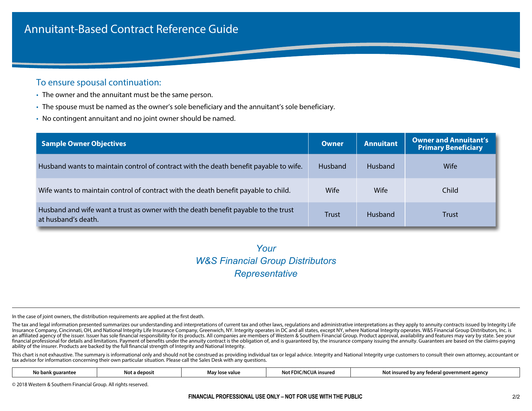## Annuitant-Based Contract Reference Guide

#### To ensure spousal continuation:

- The owner and the annuitant must be the same person.
- The spouse must be named as the owner's sole beneficiary and the annuitant's sole beneficiary.
- No contingent annuitant and no joint owner should be named.

| <b>Sample Owner Objectives</b>                                                                            | Owner          | <b>Annuitant</b> | Owner and Annuitant's<br><b>Primary Beneficiary</b> |
|-----------------------------------------------------------------------------------------------------------|----------------|------------------|-----------------------------------------------------|
| Husband wants to maintain control of contract with the death benefit payable to wife.                     | <b>Husband</b> | <b>Husband</b>   | Wife                                                |
| Wife wants to maintain control of contract with the death benefit payable to child.                       | Wife           | Wife             | Child                                               |
| Husband and wife want a trust as owner with the death benefit payable to the trust<br>at husband's death. | Trust          | <b>Husband</b>   | <b>Trust</b>                                        |

# *Your Representative W&S Financial Group Distributors*

In the case of joint owners, the distribution requirements are applied at the first death.

The tax and legal information presented summarizes our understanding and interpretations of current tax and other laws, regulations and administrative interpretations as they apply to annuity contracts issued by Integrity Insurance Company, Cincinnati, OH, and National Integrity Life Insurance Company, Greenwich, NY. Integrity operates in DC and all states, except NY, where National Integrity operates. W&S Financial Group Distributors, Inc. an affiliated agency of the issuer. Issuer has sole financial responsibility for its products. All companies are members of Western & Southern Financial Group. Product approval, availability and features may vary by state. financial professional for details and limitations. Payment of benefits under the annuity contract is the obligation of, and is quaranteed by, the insurance company issuing the annuity. Guarantees are based on the claims-p ability of the insurer. Products are backed by the full financial strength of Integrity and National Integrity.

This chart is not exhaustive. The summary is informational only and should not be construed as providing individual tax or legal advice. Integrity and National Integrity urge customers to consult their own attorney, accoun tax advisor for information concerning their own particular situation. Please call the Sales Desk with any questions.

|  | No bai<br>anter | NOT<br>aenosi. | : value<br>גע מאחו ייד<br>Ma | insurec | ıaencı<br>'nsurer<br>αον<br>NOT<br>. |
|--|-----------------|----------------|------------------------------|---------|--------------------------------------|
|--|-----------------|----------------|------------------------------|---------|--------------------------------------|

© 2018 Western & Southern Financial Group. All rights reserved.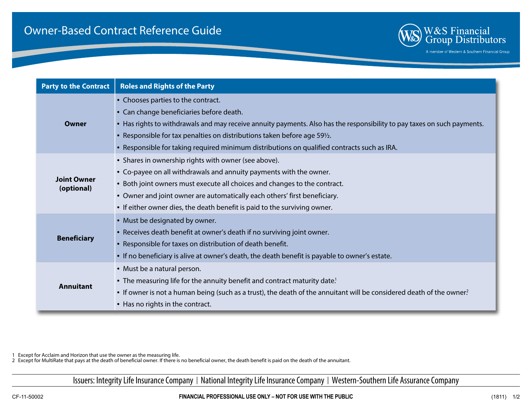

A member of Western & Southern Financial Group

| <b>Party to the Contract</b>     | <b>Roles and Rights of the Party</b>                                                                                                                                                                                                                                                                                                                                                                            |
|----------------------------------|-----------------------------------------------------------------------------------------------------------------------------------------------------------------------------------------------------------------------------------------------------------------------------------------------------------------------------------------------------------------------------------------------------------------|
| Owner                            | • Chooses parties to the contract.<br>• Can change beneficiaries before death.<br>• Has rights to withdrawals and may receive annuity payments. Also has the responsibility to pay taxes on such payments.<br>• Responsible for tax penalties on distributions taken before age 59 <sup>1</sup> / <sub>2</sub> .<br>. Responsible for taking required minimum distributions on qualified contracts such as IRA. |
| <b>Joint Owner</b><br>(optional) | • Shares in ownership rights with owner (see above).<br>• Co-payee on all withdrawals and annuity payments with the owner.<br>• Both joint owners must execute all choices and changes to the contract.<br>• Owner and joint owner are automatically each others' first beneficiary.<br>• If either owner dies, the death benefit is paid to the surviving owner.                                               |
| <b>Beneficiary</b>               | • Must be designated by owner.<br>• Receives death benefit at owner's death if no surviving joint owner.<br>• Responsible for taxes on distribution of death benefit.<br>• If no beneficiary is alive at owner's death, the death benefit is payable to owner's estate.                                                                                                                                         |
| <b>Annuitant</b>                 | • Must be a natural person.<br>• The measuring life for the annuity benefit and contract maturity date!<br>• If owner is not a human being (such as a trust), the death of the annuitant will be considered death of the owner?<br>• Has no rights in the contract.                                                                                                                                             |

1 Except for Acclaim and Horizon that use the owner as the measuring life.

2 Except for MultiRate that pays at the death of beneficial owner. If there is no beneficial owner, the death benefit is paid on the death of the annuitant.

Issuers: Integrity Life Insurance Company | National Integrity Life Insurance Company | Western-Southern Life Assurance Company